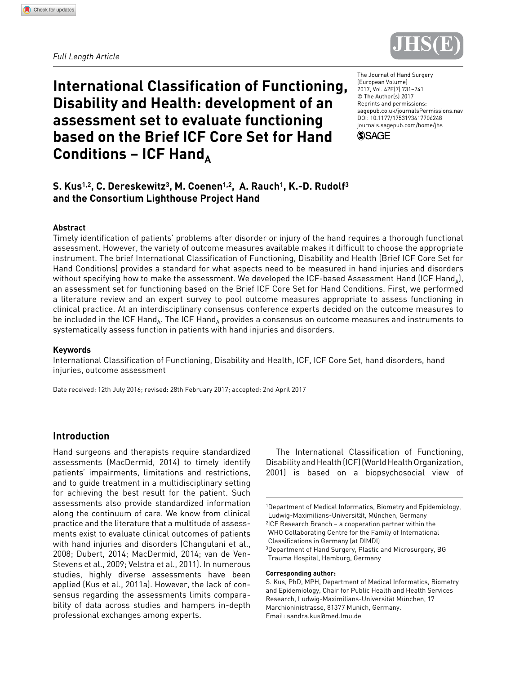*Full length article*



# **International Classification of Functioning, Disability and Health: development of an assessment set to evaluate functioning based on the Brief ICF Core Set for Hand**  Conditions – ICF Hand

https://doi.org/10.1177/1753193417706248 DOI: 10.1177/1753193417706248 The Journal of Hand Surgery (European Volume) 2017, Vol. 42E(7) 731–741 © The Author(s) 2017 Reprints and permissions: [sagepub.co.uk/journalsPermissions.nav](https://uk.sagepub.com/en-gb/journals-permissions) [journals.sagepub.com/home/jhs](https://journals.sagepub.com/home/jhs)



### **S. Kus1,2, C. Dereskewitz3, M. Coenen1,2, A. Rauch1, K.-D. Rudolf3 and the Consortium Lighthouse Project Hand**

### **Abstract**

Timely identification of patients' problems after disorder or injury of the hand requires a thorough functional assessment. However, the variety of outcome measures available makes it difficult to choose the appropriate instrument. The brief International Classification of Functioning, Disability and Health (Brief ICF Core Set for Hand Conditions) provides a standard for what aspects need to be measured in hand injuries and disorders without specifying how to make the assessment. We developed the ICF-based Assessment Hand (ICF Hand<sub>a</sub>), an assessment set for functioning based on the Brief ICF Core Set for Hand Conditions. First, we performed a literature review and an expert survey to pool outcome measures appropriate to assess functioning in clinical practice. At an interdisciplinary consensus conference experts decided on the outcome measures to be included in the ICF Hand<sub>A</sub>. The ICF Hand<sub>A</sub> provides a consensus on outcome measures and instruments to systematically assess function in patients with hand injuries and disorders.

#### **Keywords**

International Classification of Functioning, Disability and Health, ICF, ICF Core Set, hand disorders, hand injuries, outcome assessment

Date received: 12th July 2016; revised: 28th February 2017; accepted: 2nd April 2017

### **Introduction**

Hand surgeons and therapists require standardized assessments (MacDermid, 2014) to timely identify patients' impairments, limitations and restrictions, and to guide treatment in a multidisciplinary setting for achieving the best result for the patient. Such assessments also provide standardized information along the continuum of care. We know from clinical practice and the literature that a multitude of assessments exist to evaluate clinical outcomes of patients with hand injuries and disorders (Changulani et al., 2008; Dubert, 2014; MacDermid, 2014; van de Ven-Stevens et al., 2009; Velstra et al., 2011). In numerous studies, highly diverse assessments have been applied (Kus et al., 2011a). However, the lack of consensus regarding the assessments limits comparability of data across studies and hampers in-depth professional exchanges among experts.

The International Classification of Functioning, Disability and Health (ICF) (World Health Organization, 2001) is based on a biopsychosocial view of

3Department of Hand Surgery, Plastic and Microsurgery, BG Trauma Hospital, Hamburg, Germany

#### **Corresponding author:**

<sup>1</sup>Department of Medical Informatics, Biometry and Epidemiology, Ludwig-Maximilians-Universität, München, Germany

<sup>2</sup>ICF Research Branch – a cooperation partner within the WHO Collaborating Centre for the Family of International Classifications in Germany (at DIMDI)

S. Kus, PhD, MPH, Department of Medical Informatics, Biometry and Epidemiology, Chair for Public Health and Health Services Research, Ludwig-Maximilians-Universität München, 17 Marchioninistrasse, 81377 Munich, Germany. Email: [sandra.kus@med.lmu.de](mailto:sandra.kus@med.lmu.de)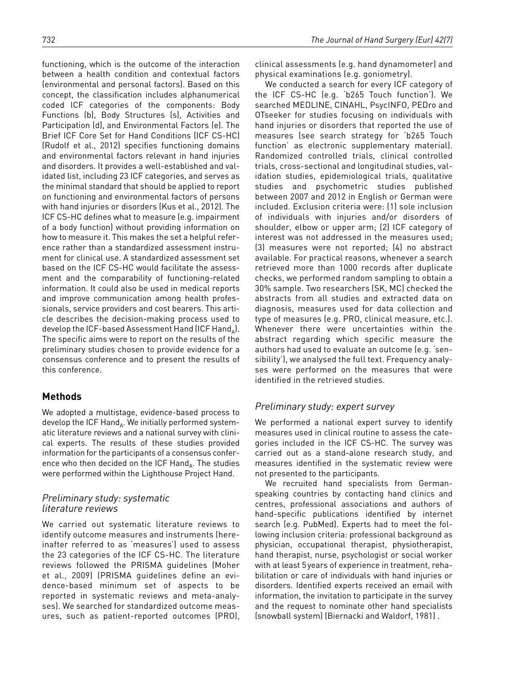functioning, which is the outcome of the interaction between a health condition and contextual factors (environmental and personal factors). Based on this concept, the classification includes alphanumerical coded ICF categories of the components: Body Functions (b), Body Structures (s), Activities and Participation (d), and Environmental Factors (e). The Brief ICF Core Set for Hand Conditions (ICF CS-HC) (Rudolf et al., 2012) specifies functioning domains and environmental factors relevant in hand injuries and disorders. It provides a well-established and validated list, including 23 ICF categories, and serves as the minimal standard that should be applied to report on functioning and environmental factors of persons with hand injuries or disorders (Kus et al., 2012). The ICF CS-HC defines what to measure (e.g. impairment of a body function) without providing information on how to measure it. This makes the set a helpful reference rather than a standardized assessment instrument for clinical use. A standardized assessment set based on the ICF CS-HC would facilitate the assessment and the comparability of functioning-related information. It could also be used in medical reports and improve communication among health professionals, service providers and cost bearers. This article describes the decision-making process used to develop the ICF-based Assessment Hand (ICF Hand $_{\text{A}}$ ). The specific aims were to report on the results of the preliminary studies chosen to provide evidence for a consensus conference and to present the results of this conference.

# **Methods**

We adopted a multistage, evidence-based process to develop the ICF Hand $_A$ . We initially performed systematic literature reviews and a national survey with clinical experts. The results of these studies provided information for the participants of a consensus conference who then decided on the ICF Hand $_A$ . The studies were performed within the Lighthouse Project Hand.

### *Preliminary study: systematic literature reviews*

We carried out systematic literature reviews to identify outcome measures and instruments (hereinafter referred to as 'measures') used to assess the 23 categories of the ICF CS-HC. The literature reviews followed the PRISMA guidelines (Moher et al., 2009) (PRISMA guidelines define an evidence-based minimum set of aspects to be reported in systematic reviews and meta-analyses). We searched for standardized outcome measures, such as patient-reported outcomes (PRO), clinical assessments (e.g. hand dynamometer) and physical examinations (e.g. goniometry).

We conducted a search for every ICF category of the ICF CS-HC (e.g. 'b265 Touch function'). We searched MEDLINE, CINAHL, PsycINFO, PEDro and OTseeker for studies focusing on individuals with hand injuries or disorders that reported the use of measures (see search strategy for 'b265 Touch function' as electronic supplementary material). Randomized controlled trials, clinical controlled trials, cross-sectional and longitudinal studies, validation studies, epidemiological trials, qualitative studies and psychometric studies published between 2007 and 2012 in English or German were included. Exclusion criteria were: (1) sole inclusion of individuals with injuries and/or disorders of shoulder, elbow or upper arm; (2) ICF category of interest was not addressed in the measures used; (3) measures were not reported; (4) no abstract available. For practical reasons, whenever a search retrieved more than 1000 records after duplicate checks, we performed random sampling to obtain a 30% sample. Two researchers (SK, MC) checked the abstracts from all studies and extracted data on diagnosis, measures used for data collection and type of measures (e.g. PRO, clinical measure, etc.). Whenever there were uncertainties within the abstract regarding which specific measure the authors had used to evaluate an outcome (e.g. 'sensibility'), we analysed the full text. Frequency analyses were performed on the measures that were identified in the retrieved studies.

# *Preliminary study: expert survey*

We performed a national expert survey to identify measures used in clinical routine to assess the categories included in the ICF CS-HC. The survey was carried out as a stand-alone research study, and measures identified in the systematic review were not presented to the participants.

We recruited hand specialists from Germanspeaking countries by contacting hand clinics and centres, professional associations and authors of hand-specific publications identified by internet search (e.g. PubMed). Experts had to meet the following inclusion criteria: professional background as physician, occupational therapist, physiotherapist, hand therapist, nurse, psychologist or social worker with at least 5years of experience in treatment, rehabilitation or care of individuals with hand injuries or disorders. Identified experts received an email with information, the invitation to participate in the survey and the request to nominate other hand specialists (snowball system) (Biernacki and Waldorf, 1981) .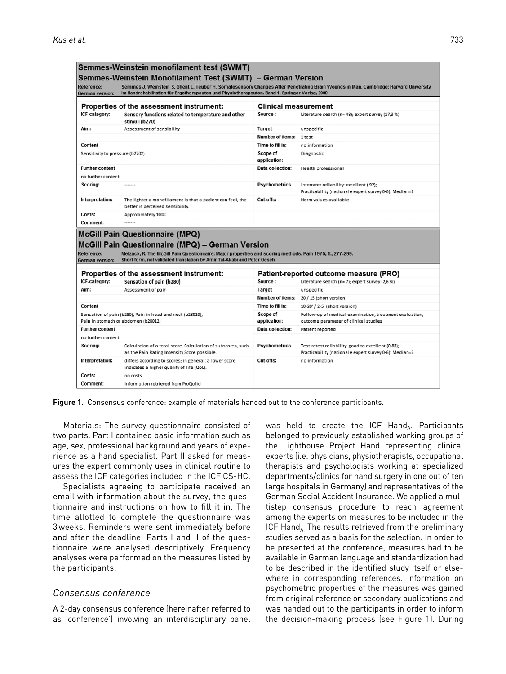| Reference:<br><b>German version:</b> | Semmes-Weinstein monofilament test (SWMT)<br>Semmes-Weinstein Monofilament Test (SWMT) – German Version<br>In: Handrehabilitation für Ergotherapeuten und Physiotherapeuten. Band 1. Springer Verlag, 2009                                                                        |                             | Semmes J, Weinstein S, Ghent L, Teuber H. Somatosensory Changes After Penetrating Brain Wounds in Man. Cambridge: Harvard University |
|--------------------------------------|-----------------------------------------------------------------------------------------------------------------------------------------------------------------------------------------------------------------------------------------------------------------------------------|-----------------------------|--------------------------------------------------------------------------------------------------------------------------------------|
|                                      | Properties of the assessment instrument:                                                                                                                                                                                                                                          | <b>Clinical measurement</b> |                                                                                                                                      |
| ICF-category:                        | Sensory functions related to temperature and other<br>stimuli (b270)                                                                                                                                                                                                              | Source:                     | Literature search (n= 48); expert survey (17,3 %)                                                                                    |
| Aim:                                 | Assessment of sensibility                                                                                                                                                                                                                                                         | <b>Target</b>               | unspecific                                                                                                                           |
|                                      |                                                                                                                                                                                                                                                                                   | <b>Number of items:</b>     | 1 test                                                                                                                               |
| Content                              |                                                                                                                                                                                                                                                                                   | Time to fill in:            | no information                                                                                                                       |
| Sensitivity to pressure (b2702)      |                                                                                                                                                                                                                                                                                   | Scope of<br>application:    | Diagnostic                                                                                                                           |
| <b>Further content</b>               |                                                                                                                                                                                                                                                                                   | Data collection:            | Health professional                                                                                                                  |
| no further content                   |                                                                                                                                                                                                                                                                                   |                             |                                                                                                                                      |
| Scoring:                             |                                                                                                                                                                                                                                                                                   | <b>Psychometrics</b>        | Interrater reliability: excellent (.92);<br>Practicability (nationale expert survey 0-6): Median=2                                   |
| Interpretation:                      | The lighter a monofilament is that a patient can feel, the<br>better is perceived sensibility.                                                                                                                                                                                    | Cut-offs:                   | Norm values available                                                                                                                |
| Costs:                               | Approximately 100€                                                                                                                                                                                                                                                                |                             |                                                                                                                                      |
|                                      |                                                                                                                                                                                                                                                                                   |                             |                                                                                                                                      |
| Comment:                             |                                                                                                                                                                                                                                                                                   |                             |                                                                                                                                      |
| Reference:<br><b>German version:</b> | <b>McGill Pain Questionnaire (MPQ)</b><br>McGill Pain Questionnaire (MPQ) - German Version<br>Melzack, R. The McGill Pain Questionnaire: Major properties and scoring methods. Pain 1975; 1:, 277-299.<br>Short form, not validated translation by Amir Tal-Akabi and Peter Oesch |                             |                                                                                                                                      |
|                                      |                                                                                                                                                                                                                                                                                   |                             |                                                                                                                                      |
| ICF-category:                        | Properties of the assessment instrument:                                                                                                                                                                                                                                          | Source:                     | Patient-reported outcome measure (PRO)<br>Literature search (n= 7); expert survey (2,6 %)                                            |
| Aim:                                 | Sensation of pain (b280)<br>Assessment of pain                                                                                                                                                                                                                                    | <b>Target</b>               | unspecific                                                                                                                           |
|                                      |                                                                                                                                                                                                                                                                                   | <b>Number of items:</b>     | 20 / 15 (short version)                                                                                                              |
| Content                              |                                                                                                                                                                                                                                                                                   | Time to fill in:            | 10-20' / 2-5' (short version)                                                                                                        |
|                                      | Sensation of pain (b280), Pain in head and neck (b28010),<br>Pain in stomach or abdomen (b28012)                                                                                                                                                                                  | Scope of<br>application:    | Follow-up of medical examination, treatment evaluation,<br>outcome parameter of clinical studies                                     |
| <b>Further content</b>               |                                                                                                                                                                                                                                                                                   | Data collection:            | Patient reported                                                                                                                     |
| no further content                   |                                                                                                                                                                                                                                                                                   |                             |                                                                                                                                      |
| Scoring:                             | Calculation of a total score. Calculation of subscores, such<br>as the Pain Rating Intensity Score possible.                                                                                                                                                                      | <b>Psychometrics</b>        | Test-retest reliability: good to excellent (0,83);<br>Practicability (nationale expert survey 0-6): Median=2                         |
| Interpretation:                      | differs according to scores; in general: a lower score<br>indicates a higher quality of life (QoL).                                                                                                                                                                               | Cut-offs:                   | no information                                                                                                                       |
| Costs:                               | no costs                                                                                                                                                                                                                                                                          |                             |                                                                                                                                      |



Materials: The survey questionnaire consisted of two parts. Part I contained basic information such as age, sex, professional background and years of experience as a hand specialist. Part II asked for measures the expert commonly uses in clinical routine to assess the ICF categories included in the ICF CS-HC.

Specialists agreeing to participate received an email with information about the survey, the questionnaire and instructions on how to fill it in. The time allotted to complete the questionnaire was 3 weeks. Reminders were sent immediately before and after the deadline. Parts I and II of the questionnaire were analysed descriptively. Frequency analyses were performed on the measures listed by the participants.

### *Consensus conference*

A 2-day consensus conference (hereinafter referred to as 'conference') involving an interdisciplinary panel was held to create the ICF Hand<sub>A</sub>. Participants belonged to previously established working groups of the Lighthouse Project Hand representing clinical experts (i.e. physicians, physiotherapists, occupational therapists and psychologists working at specialized departments/clinics for hand surgery in one out of ten large hospitals in Germany) and representatives of the German Social Accident Insurance. We applied a multistep consensus procedure to reach agreement among the experts on measures to be included in the ICF Hand, The results retrieved from the preliminary studies served as a basis for the selection. In order to be presented at the conference, measures had to be available in German language and standardization had to be described in the identified study itself or elsewhere in corresponding references. Information on psychometric properties of the measures was gained from original reference or secondary publications and was handed out to the participants in order to inform the decision-making process (see Figure 1). During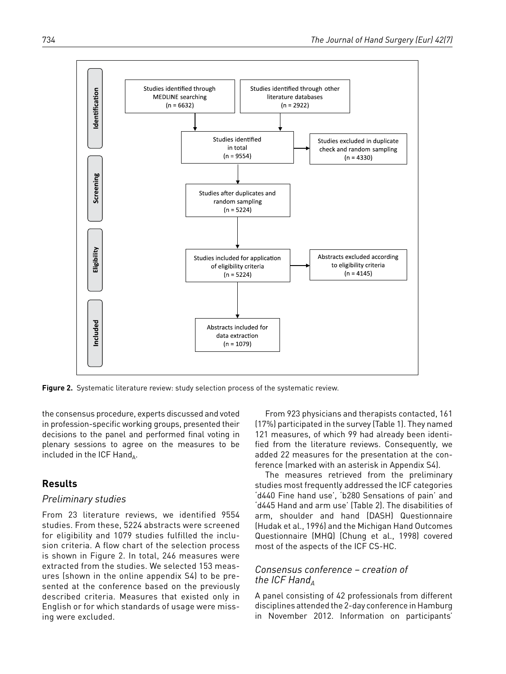

**Figure 2.** Systematic literature review: study selection process of the systematic review.

the consensus procedure, experts discussed and voted in profession-specific working groups, presented their decisions to the panel and performed final voting in plenary sessions to agree on the measures to be included in the ICF Hand<sub> $\Delta$ </sub>.

### **Results**

#### *Preliminary studies*

From 23 literature reviews, we identified 9554 studies. From these, 5224 abstracts were screened for eligibility and 1079 studies fulfilled the inclusion criteria. A flow chart of the selection process is shown in Figure 2. In total, 246 measures were extracted from the studies. We selected 153 measures (shown in the online appendix S4) to be presented at the conference based on the previously described criteria. Measures that existed only in English or for which standards of usage were missing were excluded.

From 923 physicians and therapists contacted, 161 (17%) participated in the survey (Table 1). They named 121 measures, of which 99 had already been identified from the literature reviews. Consequently, we added 22 measures for the presentation at the conference (marked with an asterisk in Appendix S4).

The measures retrieved from the preliminary studies most frequently addressed the ICF categories 'd440 Fine hand use', 'b280 Sensations of pain' and 'd445 Hand and arm use' (Table 2). The disabilities of arm, shoulder and hand (DASH) Questionnaire (Hudak et al., 1996) and the Michigan Hand Outcomes Questionnaire (MHQ) (Chung et al., 1998) covered most of the aspects of the ICF CS-HC.

### *Consensus conference – creation of the ICF Hand*<sup> $\Lambda$ </sup>

A panel consisting of 42 professionals from different disciplines attended the 2-day conference in Hamburg in November 2012. Information on participants'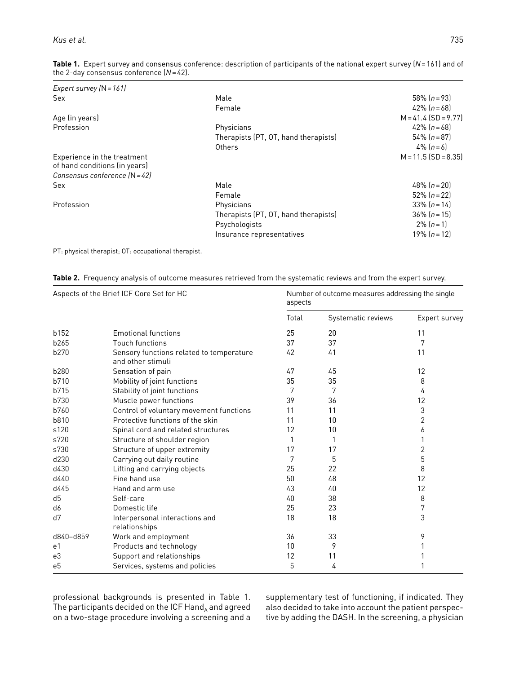| Male                                 | 58% $[n=93]$           |
|--------------------------------------|------------------------|
| Female                               | 42% $[n=68]$           |
|                                      | $M = 41.4$ (SD = 9.77) |
| Physicians                           | 42% $[n=68]$           |
| Therapists (PT, OT, hand therapists) | $54\%$ $(n=87)$        |
| Others                               | $4\%$ $[n=6]$          |
|                                      | $M = 11.5$ (SD = 8.35) |
|                                      |                        |
| Male                                 | 48% $[n=20]$           |
| Female                               | $52\%$ $(n=22)$        |
| Physicians                           | $33\%$ $(n=14)$        |
| Therapists (PT, OT, hand therapists) | $36\%$ $(n=15)$        |
| Psychologists                        | $2\%$ $[n=1]$          |
| Insurance representatives            | 19% $[n=12]$           |
|                                      |                        |

**Table 1.** Expert survey and consensus conference: description of participants of the national expert survey (*N*=161) and of the 2-day consensus conference (*N*=42).

PT: physical therapist; OT: occupational therapist.

| <b>Table 2.</b> Frequency analysis of outcome measures retrieved from the systematic reviews and from the expert survey. |  |
|--------------------------------------------------------------------------------------------------------------------------|--|
|--------------------------------------------------------------------------------------------------------------------------|--|

|                | Aspects of the Brief ICF Core Set for HC                      | aspects | Number of outcome measures addressing the single |               |
|----------------|---------------------------------------------------------------|---------|--------------------------------------------------|---------------|
|                |                                                               | Total   | Systematic reviews                               | Expert survey |
| b152           | <b>Emotional functions</b>                                    | 25      | 20                                               | 11            |
| b265           | <b>Touch functions</b>                                        | 37      | 37                                               | 7             |
| b270           | Sensory functions related to temperature<br>and other stimuli | 42      | 41                                               | 11            |
| b280           | Sensation of pain                                             | 47      | 45                                               | 12            |
| b710           | Mobility of joint functions                                   | 35      | 35                                               | 8             |
| b715           | Stability of joint functions                                  |         | 7                                                | 4             |
| b730           | Muscle power functions                                        | 39      | 36                                               | 12            |
| b760           | Control of voluntary movement functions                       | 11      | 11                                               | 3             |
| b810           | Protective functions of the skin                              | 11      | 10                                               | 2             |
| s120           | Spinal cord and related structures                            | 12      | 10                                               | 6             |
| s720           | Structure of shoulder region                                  | 1       | 1                                                |               |
| s730           | Structure of upper extremity                                  | 17      | 17                                               | 2             |
| d230           | Carrying out daily routine                                    | 7       | 5                                                | 5             |
| d430           | Lifting and carrying objects                                  | 25      | 22                                               | 8             |
| d440           | Fine hand use                                                 | 50      | 48                                               | 12            |
| d445           | Hand and arm use                                              | 43      | 40                                               | 12            |
| d <sub>5</sub> | Self-care                                                     | 40      | 38                                               | 8             |
| d6             | Domestic life                                                 | 25      | 23                                               | 7             |
| d7             | Interpersonal interactions and<br>relationships               | 18      | 18                                               | 3             |
| d840-d859      | Work and employment                                           | 36      | 33                                               | 9             |
| e1             | Products and technology                                       | 10      | 9                                                |               |
| e3             | Support and relationships                                     | 12      | 11                                               |               |
| e <sub>5</sub> | Services, systems and policies                                | 5       | 4                                                |               |

professional backgrounds is presented in Table 1. The participants decided on the ICF Hand $_A$  and agreed on a two-stage procedure involving a screening and a supplementary test of functioning, if indicated. They also decided to take into account the patient perspective by adding the DASH. In the screening, a physician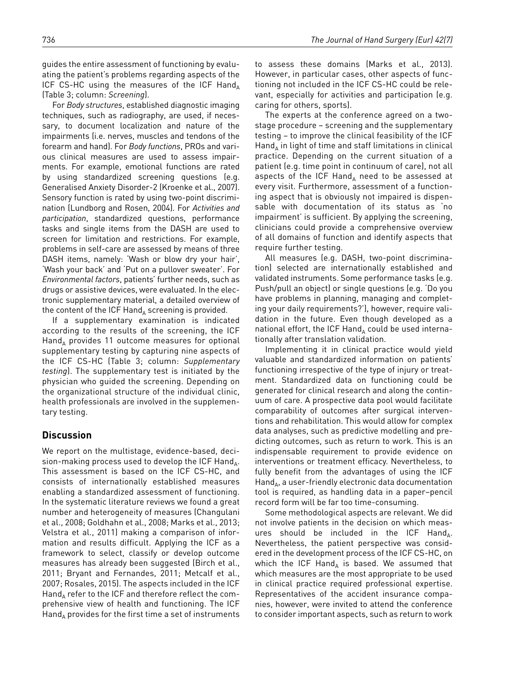guides the entire assessment of functioning by evaluating the patient's problems regarding aspects of the ICF CS-HC using the measures of the ICF Hand $_A$ (Table 3; column: *Screening*).

For *Body structures*, established diagnostic imaging techniques, such as radiography, are used, if necessary, to document localization and nature of the impairments (i.e. nerves, muscles and tendons of the forearm and hand). For *Body functions*, PROs and various clinical measures are used to assess impairments. For example, emotional functions are rated by using standardized screening questions (e.g. Generalised Anxiety Disorder-2 (Kroenke et al., 2007). Sensory function is rated by using two-point discrimination (Lundborg and Rosen, 2004). For *Activities and participation*, standardized questions, performance tasks and single items from the DASH are used to screen for limitation and restrictions. For example, problems in self-care are assessed by means of three DASH items, namely: 'Wash or blow dry your hair', 'Wash your back' and 'Put on a pullover sweater'. For *Environmental factors*, patients' further needs, such as drugs or assistive devices, were evaluated. In the electronic supplementary material, a detailed overview of the content of the ICF  $Hand_A$  screening is provided.

If a supplementary examination is indicated according to the results of the screening, the ICF  $Hand<sub>x</sub>$  provides 11 outcome measures for optional supplementary testing by capturing nine aspects of the ICF CS-HC (Table 3; column: *Supplementary testing*). The supplementary test is initiated by the physician who guided the screening. Depending on the organizational structure of the individual clinic, health professionals are involved in the supplementary testing.

### **Discussion**

We report on the multistage, evidence-based, decision-making process used to develop the ICF Hand<sub> $\Delta$ </sub>. This assessment is based on the ICF CS-HC, and consists of internationally established measures enabling a standardized assessment of functioning. In the systematic literature reviews we found a great number and heterogeneity of measures (Changulani et al., 2008; Goldhahn et al., 2008; Marks et al., 2013; Velstra et al., 2011) making a comparison of information and results difficult. Applying the ICF as a framework to select, classify or develop outcome measures has already been suggested (Birch et al., 2011; Bryant and Fernandes, 2011; Metcalf et al., 2007; Rosales, 2015). The aspects included in the ICF Hand<sub>A</sub> refer to the ICF and therefore reflect the comprehensive view of health and functioning. The ICF  $\mathsf{Hand}_{\mathsf{A}}$  provides for the first time a set of instruments

to assess these domains (Marks et al., 2013). However, in particular cases, other aspects of functioning not included in the ICF CS-HC could be relevant, especially for activities and participation (e.g. caring for others, sports).

The experts at the conference agreed on a twostage procedure – screening and the supplementary testing – to improve the clinical feasibility of the ICF  $Hand_{\Lambda}$  in light of time and staff limitations in clinical practice. Depending on the current situation of a patient (e.g. time point in continuum of care), not all aspects of the ICF Hand<sub>A</sub> need to be assessed at every visit. Furthermore, assessment of a functioning aspect that is obviously not impaired is dispensable with documentation of its status as 'no impairment' is sufficient. By applying the screening, clinicians could provide a comprehensive overview of all domains of function and identify aspects that require further testing.

All measures (e.g. DASH, two-point discrimination) selected are internationally established and validated instruments. Some performance tasks (e.g. Push/pull an object) or single questions (e.g. 'Do you have problems in planning, managing and completing your daily requirements?'), however, require validation in the future. Even though developed as a national effort, the ICF Hand<sub>A</sub> could be used internationally after translation validation.

Implementing it in clinical practice would yield valuable and standardized information on patients' functioning irrespective of the type of injury or treatment. Standardized data on functioning could be generated for clinical research and along the continuum of care. A prospective data pool would facilitate comparability of outcomes after surgical interventions and rehabilitation. This would allow for complex data analyses, such as predictive modelling and predicting outcomes, such as return to work. This is an indispensable requirement to provide evidence on interventions or treatment efficacy. Nevertheless, to fully benefit from the advantages of using the ICF  $\text{Hand}_{\text{A}}$ , a user-friendly electronic data documentation tool is required, as handling data in a paper–pencil record form will be far too time-consuming.

Some methodological aspects are relevant. We did not involve patients in the decision on which measures should be included in the ICF Hand<sub>A</sub>. Nevertheless, the patient perspective was considered in the development process of the ICF CS-HC, on which the ICF Hand<sub>A</sub> is based. We assumed that which measures are the most appropriate to be used in clinical practice required professional expertise. Representatives of the accident insurance companies, however, were invited to attend the conference to consider important aspects, such as return to work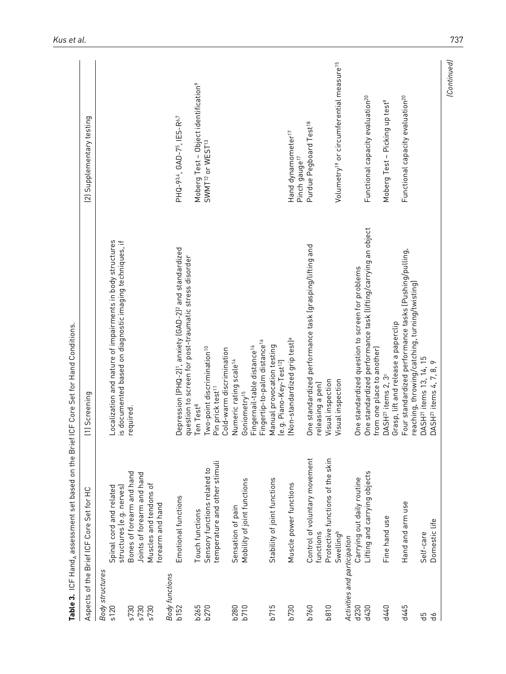|                              | <b>Table 3.</b> ICF Hand <sub>A</sub> assessment set based on the Brief | ICF Core Set for Hand Conditions.                                                                                                        |                                                                  |
|------------------------------|-------------------------------------------------------------------------|------------------------------------------------------------------------------------------------------------------------------------------|------------------------------------------------------------------|
|                              | Aspects of the Brief ICF Core Set for HC                                | [1] Screening                                                                                                                            | (2) Supplementary testing                                        |
| <b>Body structures</b>       |                                                                         |                                                                                                                                          |                                                                  |
| s120                         | Spinal cord and related                                                 | Localization and nature of impairments in body structures                                                                                |                                                                  |
| s730                         | Bones of forearm and hand<br>structures (e.g. nerves)                   | is documented based on diagnostic imaging techniques, if<br>required.                                                                    |                                                                  |
| s730                         | Joints of forearm and hand                                              |                                                                                                                                          |                                                                  |
| s730                         | Muscles and tendons of<br>forearm and hand                              |                                                                                                                                          |                                                                  |
| <b>Body functions</b>        |                                                                         |                                                                                                                                          |                                                                  |
| b <sub>152</sub>             | Emotional functions                                                     | Depression (PHQ-2) <sup>1</sup> , anxiety (GAD-2) <sup>2</sup> and standardized<br>question to screen for post-traumatic stress disorder | PHQ-934, GAD-75, IES-R <sup>6,7</sup>                            |
|                              | Touch functions                                                         | Ten Test <sup>8</sup>                                                                                                                    | Moberg Test - Object identification <sup>9</sup>                 |
| b265<br>b270                 | temperature and other stimuli<br>Sensory functions related to           | Two-point discrimination <sup>10</sup><br>Pin prick test <sup>11</sup>                                                                   | SWMT <sup>12</sup> or WEST <sup>13</sup>                         |
|                              |                                                                         | Cold-warm discrimination                                                                                                                 |                                                                  |
| <b>b280</b>                  | Sensation of pain                                                       | Numeric rating scale <sup>14</sup>                                                                                                       |                                                                  |
| b710                         | Mobility of joint functions                                             | Fingertip-to-palm distance <sup>16</sup><br>Fingernail-table distance <sup>16</sup><br>Goniometry <sup>15</sup>                          |                                                                  |
| b715                         | Stability of joint functions                                            | Manual provocation testing<br>le.g. Piano-Key-Test <sup>12</sup>                                                                         |                                                                  |
| b730                         | Muscle power functions                                                  | Mon-standardized grip test] <sup>a</sup>                                                                                                 | Hand dynamometer <sup>17</sup><br>Pinch gauge <sup>17</sup>      |
| b760                         | Control of voluntary movement<br>functions                              | One standardized performance task (grasping/lifting and<br>releasing a pen)                                                              | Purdue Pegboard Test <sup>18</sup>                               |
| <b>b810</b>                  | Protective functions of the skin                                        | Visual inspection                                                                                                                        |                                                                  |
| Activities and participation | Swellingb                                                               | Visual inspection                                                                                                                        | Volumetry <sup>19</sup> or circumferential measure <sup>15</sup> |
| d230                         | Carrying out daily routine                                              | One standardized question to screen for problems                                                                                         |                                                                  |
| d430                         | Lifting and carrying objects                                            | One standardized performance task (lifting/carrying an object<br>from one place to another)                                              | Functional capacity evaluation <sup>20</sup>                     |
| d440                         | Fine hand use                                                           | Grasp, lift and release a paperclip<br>DASH <sup>21</sup> items 2, 3 <sup>c</sup>                                                        | Moberg Test - Picking up test <sup>9</sup>                       |
| d445                         | Hand and arm use                                                        | Four standardized performance tasks (Pushing/pulling,<br>reaching, throwing/catching, turning/twisting)                                  | Functional capacity evaluation <sup>20</sup>                     |
| 띵                            | Self-care                                                               | DASH <sup>21</sup> items 13, 14, 15                                                                                                      |                                                                  |
| ЪЪ                           | Domestic life                                                           | $\circ$<br>DASH <sup>21</sup> items 4, 7, 8,                                                                                             |                                                                  |
|                              |                                                                         |                                                                                                                                          | (Continued)                                                      |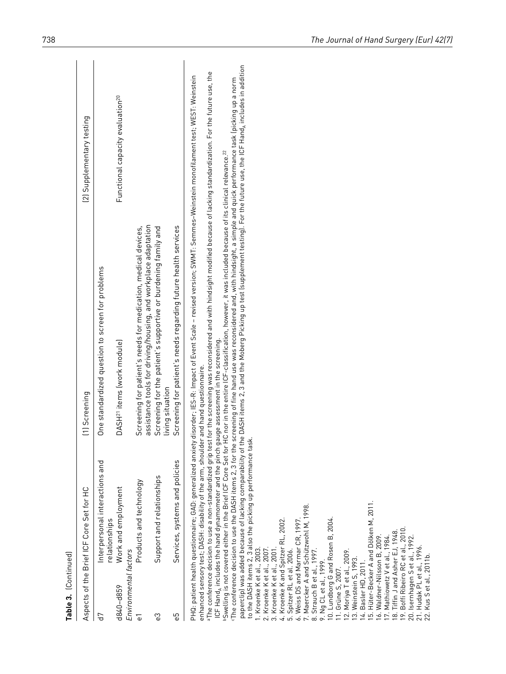| Table 3. [Continued]                                                                                                                                                                                                                                                                                                                                                                |                                                                                                                                                                                                                                                                                                                                                                                                                                                                                                                                                                                                                                                                                |                                                                                                                                                                                                                                                                                                                                                                                                                                                                                                                                                                                                                                                                                                                                                                                                                                                                                                |                                              |
|-------------------------------------------------------------------------------------------------------------------------------------------------------------------------------------------------------------------------------------------------------------------------------------------------------------------------------------------------------------------------------------|--------------------------------------------------------------------------------------------------------------------------------------------------------------------------------------------------------------------------------------------------------------------------------------------------------------------------------------------------------------------------------------------------------------------------------------------------------------------------------------------------------------------------------------------------------------------------------------------------------------------------------------------------------------------------------|------------------------------------------------------------------------------------------------------------------------------------------------------------------------------------------------------------------------------------------------------------------------------------------------------------------------------------------------------------------------------------------------------------------------------------------------------------------------------------------------------------------------------------------------------------------------------------------------------------------------------------------------------------------------------------------------------------------------------------------------------------------------------------------------------------------------------------------------------------------------------------------------|----------------------------------------------|
|                                                                                                                                                                                                                                                                                                                                                                                     | Aspects of the Brief ICF Core Set for HC                                                                                                                                                                                                                                                                                                                                                                                                                                                                                                                                                                                                                                       | [1] Screening                                                                                                                                                                                                                                                                                                                                                                                                                                                                                                                                                                                                                                                                                                                                                                                                                                                                                  | (2) Supplementary testing                    |
| 5h                                                                                                                                                                                                                                                                                                                                                                                  | Interpersonal interactions and<br>relationships                                                                                                                                                                                                                                                                                                                                                                                                                                                                                                                                                                                                                                | One standardized question to screen for problems                                                                                                                                                                                                                                                                                                                                                                                                                                                                                                                                                                                                                                                                                                                                                                                                                                               |                                              |
| Environmental factors<br>d840-d859                                                                                                                                                                                                                                                                                                                                                  | Work and employment                                                                                                                                                                                                                                                                                                                                                                                                                                                                                                                                                                                                                                                            | DASH <sup>21</sup> items (work module)                                                                                                                                                                                                                                                                                                                                                                                                                                                                                                                                                                                                                                                                                                                                                                                                                                                         | Functional capacity evaluation <sup>20</sup> |
| 5                                                                                                                                                                                                                                                                                                                                                                                   | Products and technology                                                                                                                                                                                                                                                                                                                                                                                                                                                                                                                                                                                                                                                        | assistance tools for driving/housing, and workplace adaptation<br>Screening for patient's needs for medication, medical devices,                                                                                                                                                                                                                                                                                                                                                                                                                                                                                                                                                                                                                                                                                                                                                               |                                              |
| ွ့                                                                                                                                                                                                                                                                                                                                                                                  | Support and relationships                                                                                                                                                                                                                                                                                                                                                                                                                                                                                                                                                                                                                                                      | Screening for the patient's supportive or burdening family and<br>living situation                                                                                                                                                                                                                                                                                                                                                                                                                                                                                                                                                                                                                                                                                                                                                                                                             |                                              |
| ςP                                                                                                                                                                                                                                                                                                                                                                                  | Services, systems and policies                                                                                                                                                                                                                                                                                                                                                                                                                                                                                                                                                                                                                                                 | Screening for patient's needs regarding future health services                                                                                                                                                                                                                                                                                                                                                                                                                                                                                                                                                                                                                                                                                                                                                                                                                                 |                                              |
| 20. Isernhagen S et al., 1992.<br>21. Hudak PL et al., 1996.<br>2. Kroenke K et al., 2007.<br>1. Kroenke K et al., 2003.<br>3. Kroenke K et al., 2001.<br>8. Strauch B et al., 1997.<br>Spitzer RL et al. 2006.<br>2. Moriya T et al., 2009.<br>22. Kus S et al., 2011b.<br>3. Weinstein S, 1993.<br>Basler HD, 2011.<br>9. Ng CL et al., 1999.<br>$\overline{9}$ .<br>4.<br>$\sim$ | $ICF$ Hand $_A$ includes the hand dynamometer and the pinch gauge assessment in the screening.<br>enhanced sensory test; DASH: disability of the arm, shoulder and hand questionnaire.<br>to the DASH items 2, 3 also the picking up performance task.<br>bSwelling is not covered either in the Brief ICF Core Set for<br>Hüter-Becker A and Dölken M, 2011.<br>7. Maercker A and Schützwohl M, 1998.<br>10. Lundborg G and Rosen B, 2004.<br>11. Grüne S, 2007.<br>Weiss DS and Marmar CR, 1997.<br>4. Kroenke K and Spitzer RL, 2002.<br>Boffi Ribeiro RC et al., 2010<br>17. Mathiowetz V et al., 1984.<br>18. Tiffin J and Asher EJ, 1948.<br>6. Waldner-Nilsson B, 2009. | paperclip) was added because of lacking comparability of the DASH items 2, 3 and the Moberg Picking up test (supplement testing). For the future use, the ICF Hand <sub>A</sub> includes in addition<br>•The conference decision to use a non-standardized grip test for the screening was reconsidered and with hindsight modified because of lacking standardization. For the future use, the<br>PHQ: patient health questionnaire; GAD: generalized anxiety disorder; IES-R: Impact of Event Scale – revised version; SWMT: Semmes–Weinstein monofilament test; WEST: Weinstein<br>The conference decision to use the DASH items 2, 3 for the screening of fine hand use was reconsidered and, with hindsight, a simple and quick performance task (picking up a norm<br>HC nor in the entire ICF-classification, however, it was included because of its clinical relevance. <sup>22</sup> |                                              |
|                                                                                                                                                                                                                                                                                                                                                                                     |                                                                                                                                                                                                                                                                                                                                                                                                                                                                                                                                                                                                                                                                                |                                                                                                                                                                                                                                                                                                                                                                                                                                                                                                                                                                                                                                                                                                                                                                                                                                                                                                |                                              |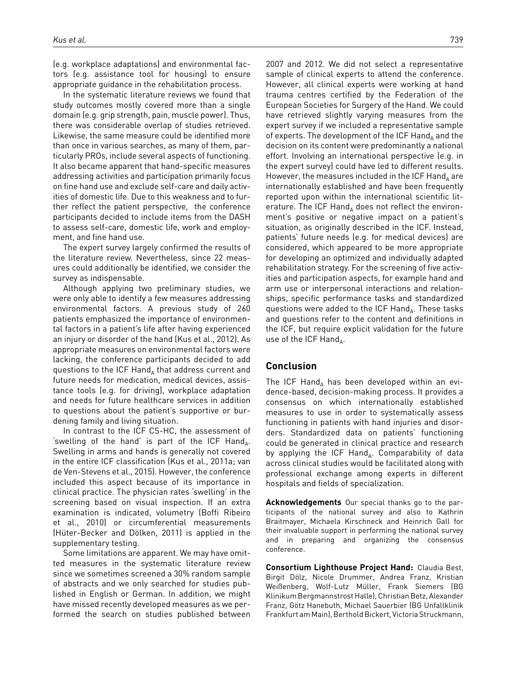(e.g. workplace adaptations) and environmental factors (e.g. assistance tool for housing) to ensure appropriate guidance in the rehabilitation process.

In the systematic literature reviews we found that study outcomes mostly covered more than a single domain (e.g. grip strength, pain, muscle power). Thus, there was considerable overlap of studies retrieved. Likewise, the same measure could be identified more than once in various searches, as many of them, particularly PROs, include several aspects of functioning. It also became apparent that hand-specific measures addressing activities and participation primarily focus on fine hand use and exclude self-care and daily activities of domestic life. Due to this weakness and to further reflect the patient perspective, the conference participants decided to include items from the DASH to assess self-care, domestic life, work and employment, and fine hand use.

The expert survey largely confirmed the results of the literature review. Nevertheless, since 22 measures could additionally be identified, we consider the survey as indispensable.

Although applying two preliminary studies, we were only able to identify a few measures addressing environmental factors. A previous study of 260 patients emphasized the importance of environmental factors in a patient's life after having experienced an injury or disorder of the hand (Kus et al., 2012). As appropriate measures on environmental factors were lacking, the conference participants decided to add questions to the ICF Hand, that address current and future needs for medication, medical devices, assistance tools (e.g. for driving), workplace adaptation and needs for future healthcare services in addition to questions about the patient's supportive or burdening family and living situation.

In contrast to the ICF CS-HC, the assessment of 'swelling of the hand' is part of the ICF Hand<sub>A</sub>. Swelling in arms and hands is generally not covered in the entire ICF classification (Kus et al., 2011a; van de Ven-Stevens et al., 2015). However, the conference included this aspect because of its importance in clinical practice. The physician rates 'swelling' in the screening based on visual inspection. If an extra examination is indicated, volumetry (Boffi Ribeiro et al., 2010) or circumferential measurements (Hüter-Becker and Dölken, 2011) is applied in the supplementary testing.

Some limitations are apparent. We may have omitted measures in the systematic literature review since we sometimes screened a 30% random sample of abstracts and we only searched for studies published in English or German. In addition, we might have missed recently developed measures as we performed the search on studies published between

2007 and 2012. We did not select a representative sample of clinical experts to attend the conference. However, all clinical experts were working at hand trauma centres certified by the Federation of the European Societies for Surgery of the Hand. We could have retrieved slightly varying measures from the expert survey if we included a representative sample of experts. The development of the ICF Hand, and the decision on its content were predominantly a national effort. Involving an international perspective (e.g. in the expert survey) could have led to different results. However, the measures included in the ICF Hand<sub>A</sub> are internationally established and have been frequently reported upon within the international scientific literature. The ICF Hand<sub>A</sub> does not reflect the environment's positive or negative impact on a patient's situation, as originally described in the ICF. Instead, patients' future needs (e.g. for medical devices) are considered, which appeared to be more appropriate for developing an optimized and individually adapted rehabilitation strategy. For the screening of five activities and participation aspects, for example hand and arm use or interpersonal interactions and relationships, specific performance tasks and standardized questions were added to the ICF Hand<sub>A</sub>. These tasks and questions refer to the content and definitions in the ICF, but require explicit validation for the future use of the ICF Hand<sub> $\Delta$ </sub>.

### **Conclusion**

The ICF Hand<sub>A</sub> has been developed within an evidence-based, decision-making process. It provides a consensus on which internationally established measures to use in order to systematically assess functioning in patients with hand injuries and disorders. Standardized data on patients' functioning could be generated in clinical practice and research by applying the ICF Hand<sub>A</sub>. Comparability of data across clinical studies would be facilitated along with professional exchange among experts in different hospitals and fields of specialization.

**Acknowledgements** Our special thanks go to the participants of the national survey and also to Kathrin Braitmayer, Michaela Kirschneck and Heinrich Gall for their invaluable support in performing the national survey and in preparing and organizing the consensus conference.

**Consortium Lighthouse Project Hand:** Claudia Best, Birgit Dölz, Nicole Drummer, Andrea Franz, Kristian Weißenberg, Wolf-Lutz Müller, Frank Siemers (BG Klinikum Bergmannstrost Halle), Christian Betz, Alexander Franz, Götz Hanebuth, Michael Sauerbier (BG Unfallklinik Frankfurt am Main), Berthold Bickert, Victoria Struckmann,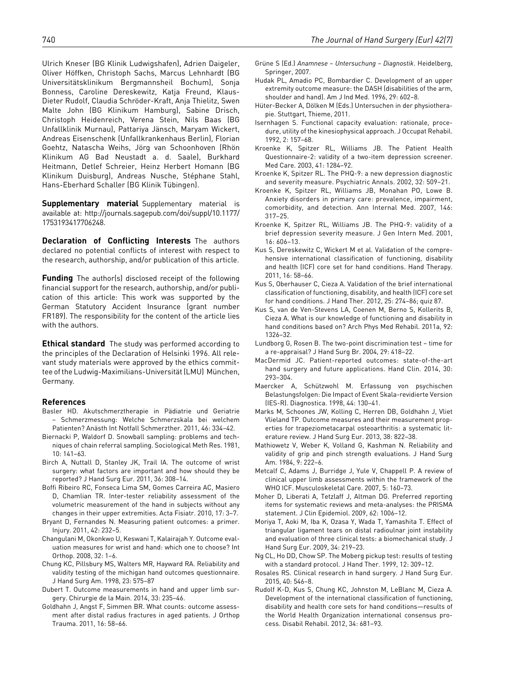Ulrich Kneser (BG Klinik Ludwigshafen), Adrien Daigeler, Oliver Höffken, Christoph Sachs, Marcus Lehnhardt (BG Universitätsklinikum Bergmannsheil Bochum), Sonja Bonness, Caroline Dereskewitz, Katja Freund, Klaus-Dieter Rudolf, Claudia Schröder-Kraft, Anja Thielitz, Swen Malte John (BG Klinikum Hamburg), Sabine Drisch, Christoph Heidenreich, Verena Stein, Nils Baas (BG Unfallklinik Murnau), Pattariya Jänsch, Maryam Wickert, Andreas Eisenschenk (Unfallkrankenhaus Berlin), Florian Goehtz, Natascha Weihs, Jörg van Schoonhoven (Rhön Klinikum AG Bad Neustadt a. d. Saale), Burkhard Heitmann, Detlef Schreier, Heinz Herbert Homann (BG Klinikum Duisburg), Andreas Nusche, Stéphane Stahl, Hans-Eberhard Schaller (BG Klinik Tübingen).

**Supplementary material** Supplementary material is available at: [http://journals.sagepub.com/doi/suppl/10.1177/](http://journals.sagepub.com/doi/suppl/10.1177/1753193417706248) [1753193417706248.](http://journals.sagepub.com/doi/suppl/10.1177/1753193417706248)

**Declaration of Conflicting Interests** The authors declared no potential conflicts of interest with respect to the research, authorship, and/or publication of this article.

**Funding** The author(s) disclosed receipt of the following financial support for the research, authorship, and/or publication of this article: This work was supported by the German Statutory Accident Insurance (grant number FR189). The responsibility for the content of the article lies with the authors.

**Ethical standard** The study was performed according to the principles of the Declaration of Helsinki 1996. All relevant study materials were approved by the ethics committee of the Ludwig-Maximilians-Universität (LMU) München, Germany.

#### **References**

- Basler HD. Akutschmerztherapie in Pädiatrie und Geriatrie – Schmerzmessung: Welche Schmerzskala bei welchem Patienten? Anästh Int Notfall Schmerzther. 2011, 46: 334–42.
- Biernacki P, Waldorf D. Snowball sampling: problems and techniques of chain referral sampling. Sociological Meth Res. 1981, 10: 141–63.
- Birch A, Nuttall D, Stanley JK, Trail IA. The outcome of wrist surgery: what factors are important and how should they be reported? J Hand Surg Eur. 2011, 36: 308–14.
- Boffi Ribeiro RC, Fonseca Lima SM, Gomes Carreira AC, Masiero D, Chamlian TR. Inter-tester reliability assessment of the volumetric measurement of the hand in subjects without any changes in their upper extremities. Acta Fisiatr. 2010, 17: 3–7.
- Bryant D, Fernandes N. Measuring patient outcomes: a primer. Injury. 2011, 42: 232–5.
- Changulani M, Okonkwo U, Keswani T, Kalairajah Y. Outcome evaluation measures for wrist and hand: which one to choose? Int Orthop. 2008, 32: 1–6.
- Chung KC, Pillsbury MS, Walters MR, Hayward RA. Reliability and validity testing of the michigan hand outcomes questionnaire. J Hand Surg Am. 1998, 23: 575–87
- Dubert T. Outcome measurements in hand and upper limb surgery. Chirurgie de la Main. 2014, 33: 235–46.
- Goldhahn J, Angst F, Simmen BR. What counts: outcome assessment after distal radius fractures in aged patients. J Orthop Trauma. 2011, 16: 58–66.
- Grüne S (Ed.) *Anamnese Untersuchung Diagnostik*. Heidelberg, Springer, 2007.
- Hudak PL, Amadio PC, Bombardier C. Development of an upper extremity outcome measure: the DASH (disabilities of the arm, shoulder and hand). Am J Ind Med. 1996, 29: 602–8.
- Hüter-Becker A, Dölken M (Eds.) Untersuchen in der physiotherapie. Stuttgart, Thieme, 2011.
- Isernhagen S. Functional capacity evaluation: rationale, procedure, utility of the kinesiophysical approach. J Occupat Rehabil. 1992, 2: 157–68.
- Kroenke K, Spitzer RL, Williams JB. The Patient Health Questionnaire-2: validity of a two-item depression screener. Med Care. 2003, 41: 1284–92.
- Kroenke K, Spitzer RL. The PHQ-9: a new depression diagnostic and severity measure. Psychiatric Annals. 2002, 32: 509–21.
- Kroenke K, Spitzer RL, Williams JB, Monahan PO, Lowe B. Anxiety disorders in primary care: prevalence, impairment, comorbidity, and detection. Ann Internal Med. 2007, 146: 317–25.
- Kroenke K, Spitzer RL, Williams JB. The PHQ-9: validity of a brief depression severity measure. J Gen Intern Med. 2001, 16: 606–13.
- Kus S, Dereskewitz C, Wickert M et al. Validation of the comprehensive international classification of functioning, disability and health (ICF) core set for hand conditions. Hand Therapy. 2011, 16: 58–66.
- Kus S, Oberhauser C, Cieza A. Validation of the brief international classification of functioning, disability, and health (ICF) core set for hand conditions. J Hand Ther. 2012, 25: 274–86; quiz 87.
- Kus S, van de Ven-Stevens LA, Coenen M, Berno S, Kollerits B, Cieza A. What is our knowledge of functioning and disability in hand conditions based on? Arch Phys Med Rehabil. 2011a, 92: 1326–32.
- Lundborg G, Rosen B. The two-point discrimination test time for a re-appraisal? J Hand Surg Br. 2004, 29: 418–22.
- MacDermid JC. Patient-reported outcomes: state-of-the-art hand surgery and future applications. Hand Clin. 2014, 30: 293–304.
- Maercker A, Schützwohl M. Erfassung von psychischen Belastungsfolgen: Die Impact of Event Skala-revidierte Version (IES-R). Diagnostica. 1998, 44: 130–41.
- Marks M, Schoones JW, Kolling C, Herren DB, Goldhahn J, Vliet Vlieland TP. Outcome measures and their measurement properties for trapeziometacarpal osteoarthritis: a systematic literature review. J Hand Surg Eur. 2013, 38: 822–38.
- Mathiowetz V, Weber K, Volland G, Kashman N. Reliability and validity of grip and pinch strength evaluations. J Hand Surg Am. 1984, 9: 222–6.
- Metcalf C, Adams J, Burridge J, Yule V, Chappell P. A review of clinical upper limb assessments within the framework of the WHO ICF. Musculoskeletal Care. 2007, 5: 160–73.
- Moher D, Liberati A, Tetzlaff J, Altman DG. Preferred reporting items for systematic reviews and meta-analyses: the PRISMA statement. J Clin Epidemiol. 2009, 62: 1006–12.
- Moriya T, Aoki M, Iba K, Ozasa Y, Wada T, Yamashita T. Effect of triangular ligament tears on distal radioulnar joint instability and evaluation of three clinical tests: a biomechanical study. J Hand Surg Eur. 2009, 34: 219–23.
- Ng CL, Ho DD, Chow SP. The Moberg pickup test: results of testing with a standard protocol. J Hand Ther. 1999, 12: 309–12.
- Rosales RS. Clinical research in hand surgery. J Hand Surg Eur. 2015, 40: 546–8.
- Rudolf K-D, Kus S, Chung KC, Johnston M, LeBlanc M, Cieza A. Development of the international classification of functioning, disability and health core sets for hand conditions—results of the World Health Organization international consensus process. Disabil Rehabil. 2012, 34: 681–93.